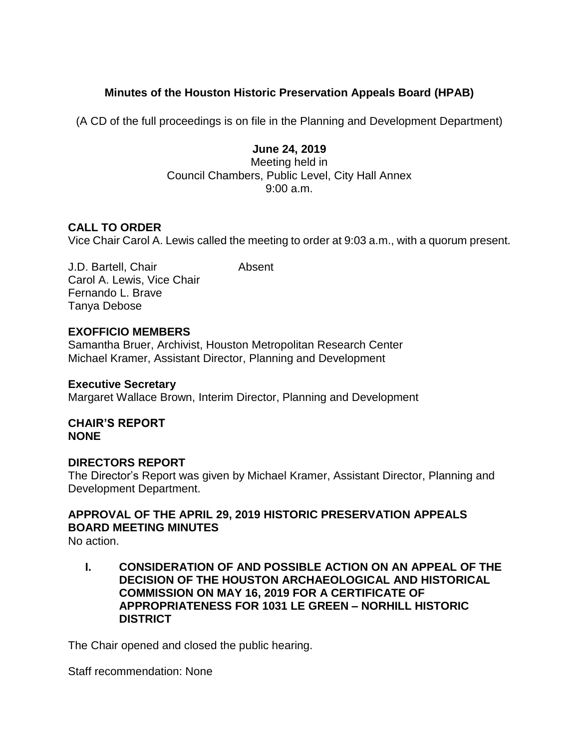# **Minutes of the Houston Historic Preservation Appeals Board (HPAB)**

(A CD of the full proceedings is on file in the Planning and Development Department)

## **June 24, 2019**

Meeting held in Council Chambers, Public Level, City Hall Annex 9:00 a.m.

## **CALL TO ORDER**

Vice Chair Carol A. Lewis called the meeting to order at 9:03 a.m., with a quorum present.

J.D. Bartell, Chair **Absent** Carol A. Lewis, Vice Chair Fernando L. Brave Tanya Debose

## **EXOFFICIO MEMBERS**

Samantha Bruer, Archivist, Houston Metropolitan Research Center Michael Kramer, Assistant Director, Planning and Development

#### **Executive Secretary**

Margaret Wallace Brown, Interim Director, Planning and Development

**CHAIR'S REPORT NONE** 

## **DIRECTORS REPORT**

The Director's Report was given by Michael Kramer, Assistant Director, Planning and Development Department.

# **APPROVAL OF THE APRIL 29, 2019 HISTORIC PRESERVATION APPEALS BOARD MEETING MINUTES**

No action.

**I. CONSIDERATION OF AND POSSIBLE ACTION ON AN APPEAL OF THE DECISION OF THE HOUSTON ARCHAEOLOGICAL AND HISTORICAL COMMISSION ON MAY 16, 2019 FOR A CERTIFICATE OF APPROPRIATENESS FOR 1031 LE GREEN – NORHILL HISTORIC DISTRICT**

The Chair opened and closed the public hearing.

Staff recommendation: None